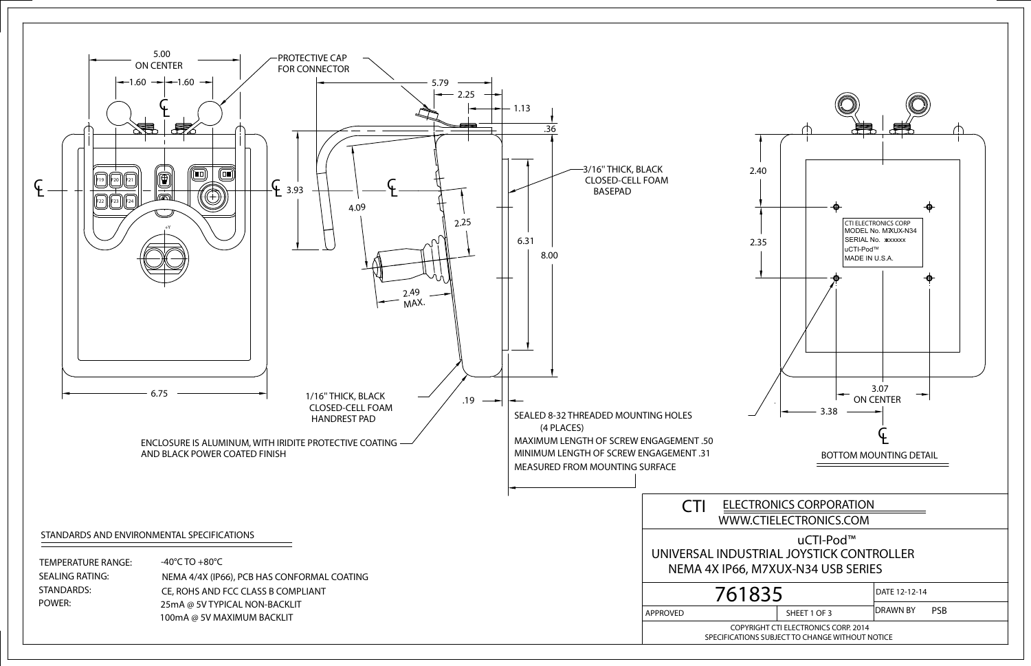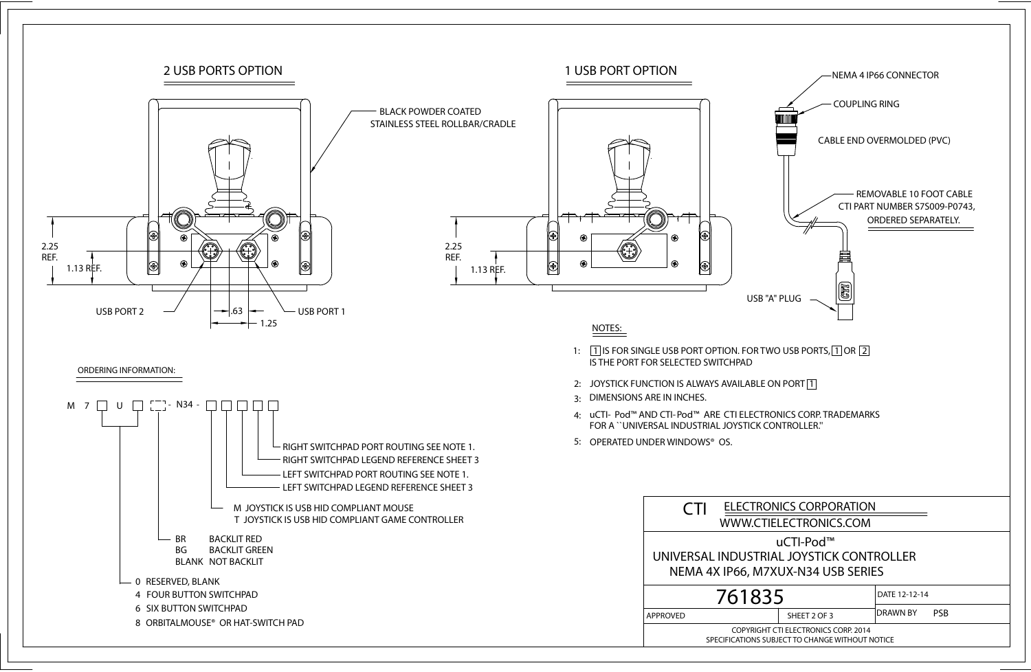